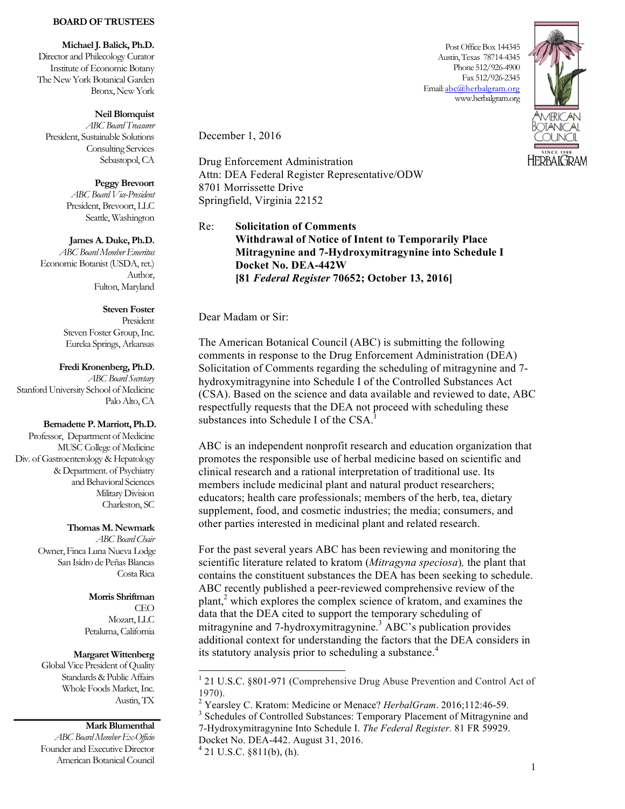### **BOARD OF TRUSTEES**

**Michael J. Balick, Ph.D.**

Director and Philecology Curator Institute of Economic Botany The New York Botanical Garden Bronx, New York

## **Neil Blomquist**

*ABC Board Treasurer* President, Sustainable Solutions Consulting Services Sebastopol, CA

#### **Peggy Brevoort**

*ABC Board Vice-President* President, Brevoort, LLC Seattle, Washington

## **James A. Duke, Ph.D.**

*ABC Board Member Emeritus* Economic Botanist (USDA, ret.) Author, Fulton, Maryland

## **Steven Foster**

President Steven Foster Group, Inc. Eureka Springs, Arkansas

#### **Fredi Kronenberg, Ph.D.**

*ABC Board Secretary* Stanford University School of Medicine Palo Alto, CA

### **Bernadette P. Marriott, Ph.D.**

Professor, Department of Medicine MUSC College of Medicine Div. of Gastroenterology & Hepatology &Department. of Psychiatry and Behavioral Sciences Military Division Charleston, SC

## **Thomas M. Newmark**

*ABC Board Chair* Owner, Finca Luna Nueva Lodge San Isidro de Peñas Blancas Costa Rica

## **Morris Shriftman**

CEO Mozart, LLC Petaluma, California

#### **Margaret Wittenberg**

Global Vice President of Quality Standards & Public Affairs Whole Foods Market, Inc. Austin, TX

### **Mark Blumenthal**

*ABC Board Member Ex-Officio* Founder and Executive Director American Botanical Council

Post Office Box 144345 Austin, Texas 78714-4345 Phone 512/926-4900 Fax 512/926-2345 Email: abc@herbalgram.org www.herbalgram.org



December 1, 2016

Drug Enforcement Administration Attn: DEA Federal Register Representative/ODW 8701 Morrissette Drive Springfield, Virginia 22152

# Re: **Solicitation of Comments Withdrawal of Notice of Intent to Temporarily Place Mitragynine and 7-Hydroxymitragynine into Schedule I Docket No. DEA-442W [81** *Federal Register* **70652; October 13, 2016]**

Dear Madam or Sir:

The American Botanical Council (ABC) is submitting the following comments in response to the Drug Enforcement Administration (DEA) Solicitation of Comments regarding the scheduling of mitragynine and 7 hydroxymitragynine into Schedule I of the Controlled Substances Act (CSA). Based on the science and data available and reviewed to date, ABC respectfully requests that the DEA not proceed with scheduling these substances into Schedule I of the CSA.<sup>1</sup>

ABC is an independent nonprofit research and education organization that promotes the responsible use of herbal medicine based on scientific and clinical research and a rational interpretation of traditional use. Its members include medicinal plant and natural product researchers; educators; health care professionals; members of the herb, tea, dietary supplement, food, and cosmetic industries; the media; consumers, and other parties interested in medicinal plant and related research.

For the past several years ABC has been reviewing and monitoring the scientific literature related to kratom (*Mitragyna speciosa*)*,* the plant that contains the constituent substances the DEA has been seeking to schedule. ABC recently published a peer-reviewed comprehensive review of the plant,<sup>2</sup> which explores the complex science of kratom, and examines the data that the DEA cited to support the temporary scheduling of mitragynine and 7-hydroxymitragynine. <sup>3</sup> ABC's publication provides additional context for understanding the factors that the DEA considers in its statutory analysis prior to scheduling a substance.<sup>4</sup>

 <sup>1</sup> 21 U.S.C. §801-971 (Comprehensive Drug Abuse Prevention and Control Act of 1970).<br><sup>2</sup> Yearsley C. Kratom: Medicine or Menace? *HerbalGram*. 2016;112:46-59.<br><sup>3</sup> Schedules of Controlled Substances: Temporary Placement of Mitragynine and

<sup>7-</sup>Hydroxymitragynine Into Schedule I. *The Federal Register.* 81 FR 59929.

Docket No. DEA-442. August 31, 2016. 4 21 U.S.C. §811(b), (h).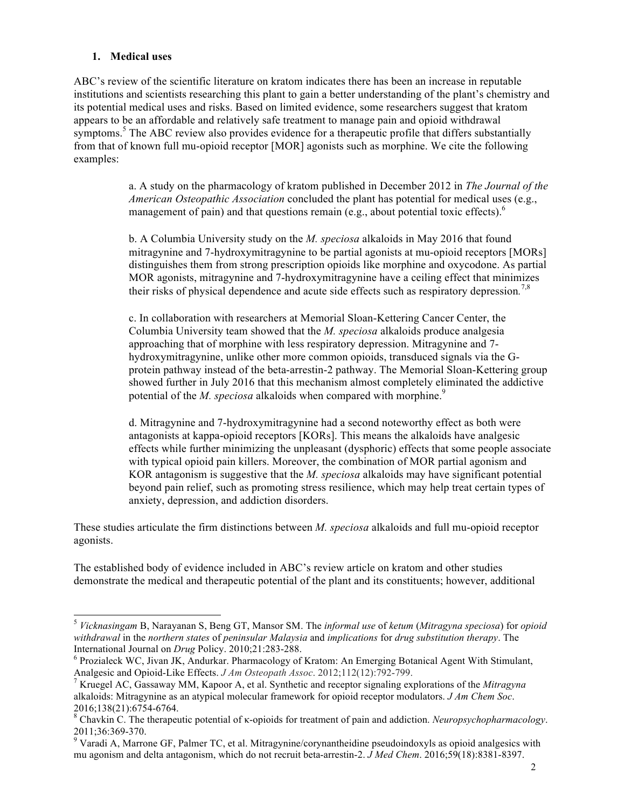# **1. Medical uses**

ABC's review of the scientific literature on kratom indicates there has been an increase in reputable institutions and scientists researching this plant to gain a better understanding of the plant's chemistry and its potential medical uses and risks. Based on limited evidence, some researchers suggest that kratom appears to be an affordable and relatively safe treatment to manage pain and opioid withdrawal symptoms.<sup>5</sup> The ABC review also provides evidence for a therapeutic profile that differs substantially from that of known full mu-opioid receptor [MOR] agonists such as morphine. We cite the following examples:

> a. A study on the pharmacology of kratom published in December 2012 in *The Journal of the American Osteopathic Association* concluded the plant has potential for medical uses (e.g., management of pain) and that questions remain (e.g., about potential toxic effects).<sup>6</sup>

> b. A Columbia University study on the *M. speciosa* alkaloids in May 2016 that found mitragynine and 7-hydroxymitragynine to be partial agonists at mu-opioid receptors [MORs] distinguishes them from strong prescription opioids like morphine and oxycodone. As partial MOR agonists, mitragynine and 7-hydroxymitragynine have a ceiling effect that minimizes their risks of physical dependence and acute side effects such as respiratory depression*.* 7,8

> c. In collaboration with researchers at Memorial Sloan-Kettering Cancer Center, the Columbia University team showed that the *M. speciosa* alkaloids produce analgesia approaching that of morphine with less respiratory depression. Mitragynine and 7 hydroxymitragynine, unlike other more common opioids, transduced signals via the Gprotein pathway instead of the beta-arrestin-2 pathway. The Memorial Sloan-Kettering group showed further in July 2016 that this mechanism almost completely eliminated the addictive potential of the *M. speciosa* alkaloids when compared with morphine.<sup>9</sup>

> d. Mitragynine and 7-hydroxymitragynine had a second noteworthy effect as both were antagonists at kappa-opioid receptors [KORs]. This means the alkaloids have analgesic effects while further minimizing the unpleasant (dysphoric) effects that some people associate with typical opioid pain killers. Moreover, the combination of MOR partial agonism and KOR antagonism is suggestive that the *M. speciosa* alkaloids may have significant potential beyond pain relief, such as promoting stress resilience, which may help treat certain types of anxiety, depression, and addiction disorders.

These studies articulate the firm distinctions between *M. speciosa* alkaloids and full mu-opioid receptor agonists.

The established body of evidence included in ABC's review article on kratom and other studies demonstrate the medical and therapeutic potential of the plant and its constituents; however, additional

 <sup>5</sup> *Vicknasingam* B, Narayanan S, Beng GT, Mansor SM. The *informal use* of *ketum* (*Mitragyna speciosa*) for *opioid withdrawal* in the *northern states* of *peninsular Malaysia* and *implications* for *drug substitution therapy*. The

<sup>&</sup>lt;sup>6</sup> Prozialeck WC, Jivan JK, Andurkar. Pharmacology of Kratom: An Emerging Botanical Agent With Stimulant, Analgesic and Opioid-Like Effects. *J Am Osteopath Assoc*. 2012;112(12):792-799. <sup>7</sup> Kruegel AC, Gassaway MM, Kapoor A, et al. Synthetic and receptor signaling explorations of the *Mitragyna* 

alkaloids: Mitragynine as an atypical molecular framework for opioid receptor modulators. *J Am Chem Soc*.

<sup>2016;138(21):6754-6764.</sup> <sup>8</sup> Chavkin C. The therapeutic potential of κ-opioids for treatment of pain and addiction. *Neuropsychopharmacology*.  $2011;36:369-370.$ <br><sup>9</sup> Varadi A, Marrone GF, Palmer TC, et al. Mitragynine/corynantheidine pseudoindoxyls as opioid analgesics with

mu agonism and delta antagonism, which do not recruit beta-arrestin-2. *J Med Chem*. 2016;59(18):8381-8397.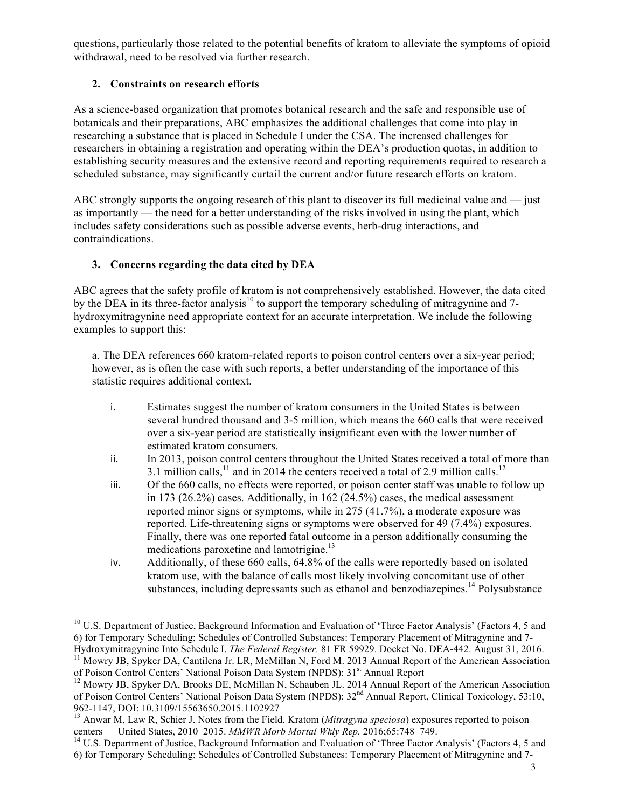questions, particularly those related to the potential benefits of kratom to alleviate the symptoms of opioid withdrawal, need to be resolved via further research.

# **2. Constraints on research efforts**

As a science-based organization that promotes botanical research and the safe and responsible use of botanicals and their preparations, ABC emphasizes the additional challenges that come into play in researching a substance that is placed in Schedule I under the CSA. The increased challenges for researchers in obtaining a registration and operating within the DEA's production quotas, in addition to establishing security measures and the extensive record and reporting requirements required to research a scheduled substance, may significantly curtail the current and/or future research efforts on kratom.

ABC strongly supports the ongoing research of this plant to discover its full medicinal value and — just as importantly — the need for a better understanding of the risks involved in using the plant, which includes safety considerations such as possible adverse events, herb-drug interactions, and contraindications.

# **3. Concerns regarding the data cited by DEA**

ABC agrees that the safety profile of kratom is not comprehensively established. However, the data cited by the DEA in its three-factor analysis<sup>10</sup> to support the temporary scheduling of mitragynine and 7hydroxymitragynine need appropriate context for an accurate interpretation. We include the following examples to support this:

a. The DEA references 660 kratom-related reports to poison control centers over a six-year period; however, as is often the case with such reports, a better understanding of the importance of this statistic requires additional context.

- i. Estimates suggest the number of kratom consumers in the United States is between several hundred thousand and 3-5 million, which means the 660 calls that were received over a six-year period are statistically insignificant even with the lower number of estimated kratom consumers.
- ii. In 2013, poison control centers throughout the United States received a total of more than 3.1 million calls,<sup>11</sup> and in 2014 the centers received a total of 2.9 million calls.<sup>12</sup>
- iii. Of the 660 calls, no effects were reported, or poison center staff was unable to follow up in 173 (26.2%) cases. Additionally, in 162 (24.5%) cases, the medical assessment reported minor signs or symptoms, while in 275 (41.7%), a moderate exposure was reported. Life-threatening signs or symptoms were observed for 49 (7.4%) exposures. Finally, there was one reported fatal outcome in a person additionally consuming the medications paroxetine and lamotrigine.<sup>13</sup>
- iv. Additionally, of these 660 calls, 64.8% of the calls were reportedly based on isolated kratom use, with the balance of calls most likely involving concomitant use of other substances, including depressants such as ethanol and benzodiazepines.<sup>14</sup> Polysubstance

 $10$  U.S. Department of Justice, Background Information and Evaluation of 'Three Factor Analysis' (Factors 4, 5 and 6) for Temporary Scheduling; Schedules of Controlled Substances: Temporary Placement of Mitragynine and 7-Hydroxymitragynine Into Schedule I. The Federal Register. 81 FR 59929. Docket No. DEA-442. August 31, 2016.

<sup>&</sup>lt;sup>11</sup> Mowry JB, Spyker DA, Cantilena Jr. LR, McMillan N, Ford M. 2013 Annual Report of the American Association of Poison Control Centers' National Poison Data System (NPDS): 31<sup>st</sup> Annual Report<br><sup>12</sup> Mowry JB, Spyker DA, Brooks DE, McMillan N, Schauben JL. 2014 Annual Report of the American Association

of Poison Control Centers' National Poison Data System (NPDS): 32nd Annual Report, Clinical Toxicology, 53:10,

<sup>962-1147,</sup> DOI: 10.3109/15563650.2015.1102927<br><sup>13</sup> Anwar M, Law R, Schier J. Notes from the Field. Kratom (*Mitragyna speciosa*) exposures reported to poison<br>centers — United States, 2010–2015. *MMWR Morb Mortal Wkly Rep.*

<sup>&</sup>lt;sup>14</sup> U.S. Department of Justice, Background Information and Evaluation of 'Three Factor Analysis' (Factors 4, 5 and 6) for Temporary Scheduling; Schedules of Controlled Substances: Temporary Placement of Mitragynine and 7-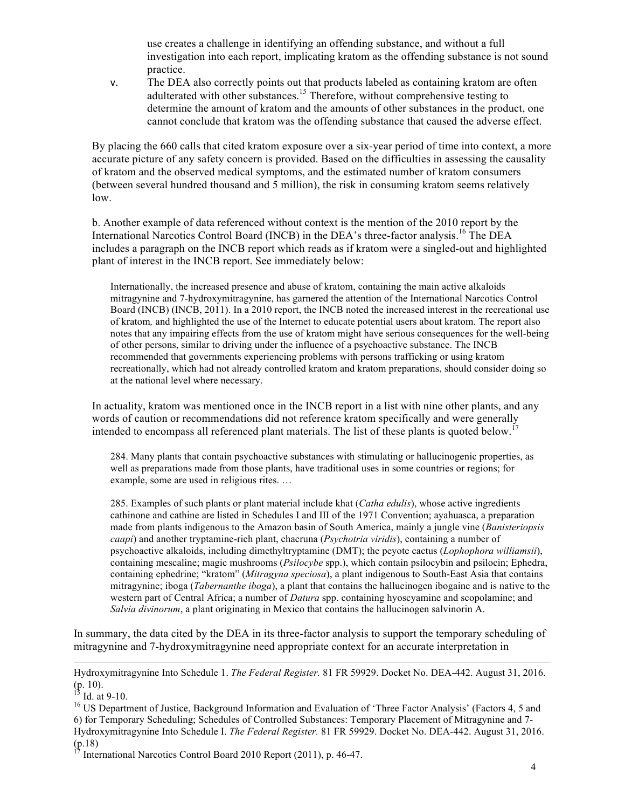use creates a challenge in identifying an offending substance, and without a full investigation into each report, implicating kratom as the offending substance is not sound practice.

v. The DEA also correctly points out that products labeled as containing kratom are often adulterated with other substances.<sup>15</sup> Therefore, without comprehensive testing to determine the amount of kratom and the amounts of other substances in the product, one cannot conclude that kratom was the offending substance that caused the adverse effect.

By placing the 660 calls that cited kratom exposure over a six-year period of time into context, a more accurate picture of any safety concern is provided. Based on the difficulties in assessing the causality of kratom and the observed medical symptoms, and the estimated number of kratom consumers (between several hundred thousand and 5 million), the risk in consuming kratom seems relatively low.

b. Another example of data referenced without context is the mention of the 2010 report by the International Narcotics Control Board (INCB) in the DEA's three-factor analysis.<sup>16</sup> The DEA includes a paragraph on the INCB report which reads as if kratom were a singled-out and highlighted plant of interest in the INCB report. See immediately below:

Internationally, the increased presence and abuse of kratom, containing the main active alkaloids mitragynine and 7-hydroxymitragynine, has garnered the attention of the International Narcotics Control Board (INCB) (INCB, 2011). In a 2010 report, the INCB noted the increased interest in the recreational use of kratom*,* and highlighted the use of the Internet to educate potential users about kratom. The report also notes that any impairing effects from the use of kratom might have serious consequences for the well-being of other persons, similar to driving under the influence of a psychoactive substance. The INCB recommended that governments experiencing problems with persons trafficking or using kratom recreationally, which had not already controlled kratom and kratom preparations, should consider doing so at the national level where necessary.

In actuality, kratom was mentioned once in the INCB report in a list with nine other plants, and any words of caution or recommendations did not reference kratom specifically and were generally intended to encompass all referenced plant materials. The list of these plants is quoted below.<sup>17</sup>

284. Many plants that contain psychoactive substances with stimulating or hallucinogenic properties, as well as preparations made from those plants, have traditional uses in some countries or regions; for example, some are used in religious rites. …

285. Examples of such plants or plant material include khat (*Catha edulis*), whose active ingredients cathinone and cathine are listed in Schedules I and III of the 1971 Convention; ayahuasca, a preparation made from plants indigenous to the Amazon basin of South America, mainly a jungle vine (*Banisteriopsis caapi*) and another tryptamine-rich plant, chacruna (*Psychotria viridis*), containing a number of psychoactive alkaloids, including dimethyltryptamine (DMT); the peyote cactus (*Lophophora williamsii*), containing mescaline; magic mushrooms (*Psilocybe* spp.), which contain psilocybin and psilocin; Ephedra, containing ephedrine; "kratom" (*Mitragyna speciosa*), a plant indigenous to South-East Asia that contains mitragynine; iboga (*Tabernanthe iboga*), a plant that contains the hallucinogen ibogaine and is native to the western part of Central Africa; a number of *Datura* spp. containing hyoscyamine and scopolamine; and *Salvia divinorum*, a plant originating in Mexico that contains the hallucinogen salvinorin A.

In summary, the data cited by the DEA in its three-factor analysis to support the temporary scheduling of mitragynine and 7-hydroxymitragynine need appropriate context for an accurate interpretation in

l

Hydroxymitragynine Into Schedule 1. *The Federal Register.* 81 FR 59929. Docket No. DEA-442. August 31, 2016.

<sup>&</sup>lt;sup>13</sup> Id. at 9-10.<br><sup>16</sup> US Department of Justice, Background Information and Evaluation of 'Three Factor Analysis' (Factors 4, 5 and 6) for Temporary Scheduling; Schedules of Controlled Substances: Temporary Placement of Mitragynine and 7- Hydroxymitragynine Into Schedule I. *The Federal Register.* 81 FR 59929. Docket No. DEA-442. August 31, 2016.  $(p.18)$ <br><sup>17</sup> International Narcotics Control Board 2010 Report (2011), p. 46-47.